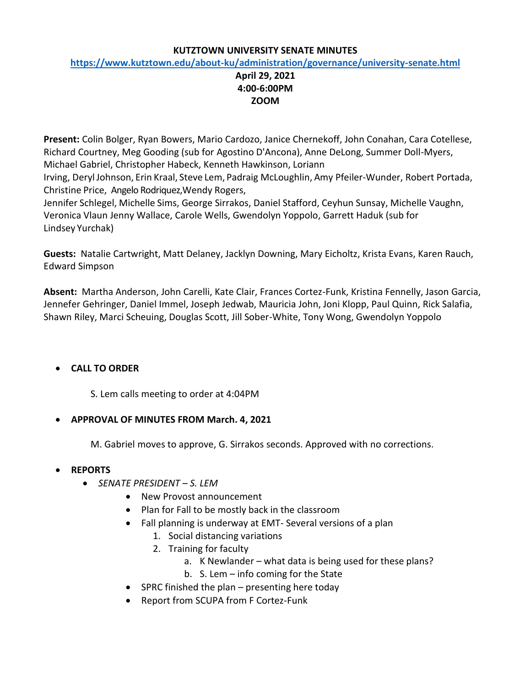### **KUTZTOWN UNIVERSITY SENATE MINUTES**

### **<https://www.kutztown.edu/about-ku/administration/governance/university-senate.html>**

## **April 29, 2021 4:00-6:00PM ZOOM**

**Present:** Colin Bolger, Ryan Bowers, Mario Cardozo, Janice Chernekoff, John Conahan, Cara Cotellese, Richard Courtney, Meg Gooding (sub for Agostino D'Ancona), Anne DeLong, Summer Doll-Myers, Michael Gabriel, Christopher Habeck, Kenneth Hawkinson, Loriann

Irving, DerylJohnson, Erin Kraal, Steve Lem, Padraig McLoughlin, Amy Pfeiler-Wunder, Robert Portada, Christine Price, Angelo Rodriquez,Wendy Rogers,

Jennifer Schlegel, Michelle Sims, George Sirrakos, Daniel Stafford, Ceyhun Sunsay, Michelle Vaughn, Veronica Vlaun Jenny Wallace, Carole Wells, Gwendolyn Yoppolo, Garrett Haduk (sub for Lindsey Yurchak)

**Guests:** Natalie Cartwright, Matt Delaney, Jacklyn Downing, Mary Eicholtz, Krista Evans, Karen Rauch, Edward Simpson

**Absent:** Martha Anderson, John Carelli, Kate Clair, Frances Cortez-Funk, Kristina Fennelly, Jason Garcia, Jennefer Gehringer, Daniel Immel, Joseph Jedwab, Mauricia John, Joni Klopp, Paul Quinn, Rick Salafia, Shawn Riley, Marci Scheuing, Douglas Scott, Jill Sober-White, Tony Wong, Gwendolyn Yoppolo

# • **CALL TO ORDER**

S. Lem calls meeting to order at 4:04PM

## • **APPROVAL OF MINUTES FROM March. 4, 2021**

M. Gabriel moves to approve, G. Sirrakos seconds. Approved with no corrections.

## • **REPORTS**

- *SENATE PRESIDENT – S. LEM*
	- New Provost announcement
	- Plan for Fall to be mostly back in the classroom
	- Fall planning is underway at EMT- Several versions of a plan
		- 1. Social distancing variations
		- 2. Training for faculty
			- a. K Newlander what data is being used for these plans?
			- b. S. Lem info coming for the State
	- SPRC finished the plan presenting here today
	- Report from SCUPA from F Cortez-Funk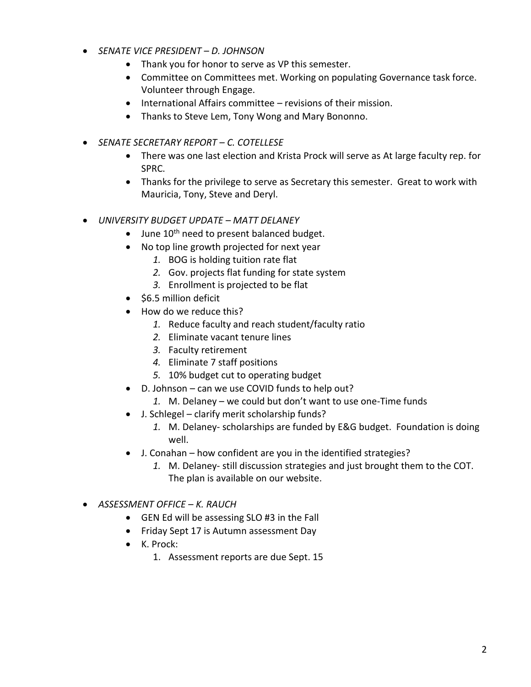- *SENATE VICE PRESIDENT – D. JOHNSON*
	- Thank you for honor to serve as VP this semester.
	- Committee on Committees met. Working on populating Governance task force. Volunteer through Engage.
	- International Affairs committee revisions of their mission.
	- Thanks to Steve Lem, Tony Wong and Mary Bononno.
- *SENATE SECRETARY REPORT – C. COTELLESE*
	- There was one last election and Krista Prock will serve as At large faculty rep. for SPRC.
	- Thanks for the privilege to serve as Secretary this semester. Great to work with Mauricia, Tony, Steve and Deryl.
- *UNIVERSITY BUDGET UPDATE – MATT DELANEY*
	- $\bullet$  June 10<sup>th</sup> need to present balanced budget.
	- No top line growth projected for next year
		- *1.* BOG is holding tuition rate flat
		- *2.* Gov. projects flat funding for state system
		- *3.* Enrollment is projected to be flat
	- \$6.5 million deficit
	- How do we reduce this?
		- *1.* Reduce faculty and reach student/faculty ratio
		- *2.* Eliminate vacant tenure lines
		- *3.* Faculty retirement
		- *4.* Eliminate 7 staff positions
		- *5.* 10% budget cut to operating budget
	- D. Johnson can we use COVID funds to help out?
		- *1.* M. Delaney we could but don't want to use one-Time funds
	- J. Schlegel clarify merit scholarship funds?
		- *1.* M. Delaney- scholarships are funded by E&G budget. Foundation is doing well.
	- J. Conahan how confident are you in the identified strategies?
		- *1.* M. Delaney- still discussion strategies and just brought them to the COT. The plan is available on our website.
- *ASSESSMENT OFFICE – K. RAUCH*
	- GEN Ed will be assessing SLO #3 in the Fall
	- Friday Sept 17 is Autumn assessment Day
	- K. Prock:
		- 1. Assessment reports are due Sept. 15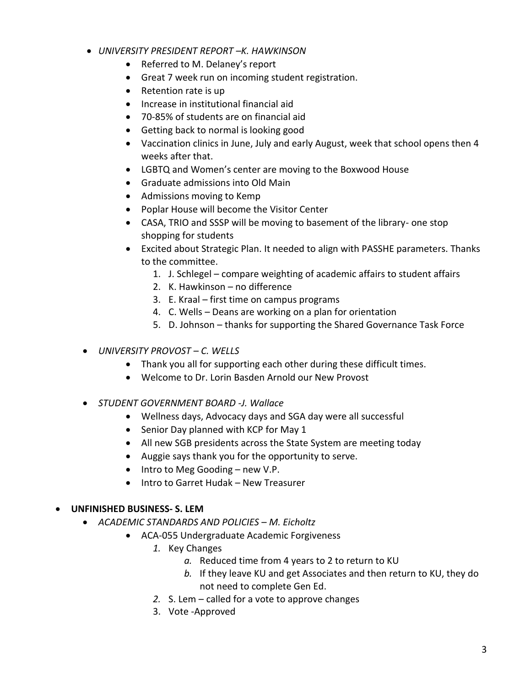- *UNIVERSITY PRESIDENT REPORT –K. HAWKINSON*
	- Referred to M. Delaney's report
	- Great 7 week run on incoming student registration.
	- Retention rate is up
	- Increase in institutional financial aid
	- 70-85% of students are on financial aid
	- Getting back to normal is looking good
	- Vaccination clinics in June, July and early August, week that school opens then 4 weeks after that.
	- LGBTQ and Women's center are moving to the Boxwood House
	- Graduate admissions into Old Main
	- Admissions moving to Kemp
	- Poplar House will become the Visitor Center
	- CASA, TRIO and SSSP will be moving to basement of the library- one stop shopping for students
	- Excited about Strategic Plan. It needed to align with PASSHE parameters. Thanks to the committee.
		- 1. J. Schlegel compare weighting of academic affairs to student affairs
		- 2. K. Hawkinson no difference
		- 3. E. Kraal first time on campus programs
		- 4. C. Wells Deans are working on a plan for orientation
		- 5. D. Johnson thanks for supporting the Shared Governance Task Force
- *UNIVERSITY PROVOST – C. WELLS*
	- Thank you all for supporting each other during these difficult times.
	- Welcome to Dr. Lorin Basden Arnold our New Provost
- *STUDENT GOVERNMENT BOARD -J. Wallace*
	- Wellness days, Advocacy days and SGA day were all successful
	- Senior Day planned with KCP for May 1
	- All new SGB presidents across the State System are meeting today
	- Auggie says thank you for the opportunity to serve.
	- Intro to Meg Gooding new V.P.
	- Intro to Garret Hudak New Treasurer

### • **UNFINISHED BUSINESS- S. LEM**

- *ACADEMIC STANDARDS AND POLICIES – M. Eicholtz*
	- ACA-055 Undergraduate Academic Forgiveness
		- *1.* Key Changes
			- *a.* Reduced time from 4 years to 2 to return to KU
			- *b.* If they leave KU and get Associates and then return to KU, they do not need to complete Gen Ed.
		- *2.* S. Lem called for a vote to approve changes
		- 3. Vote -Approved